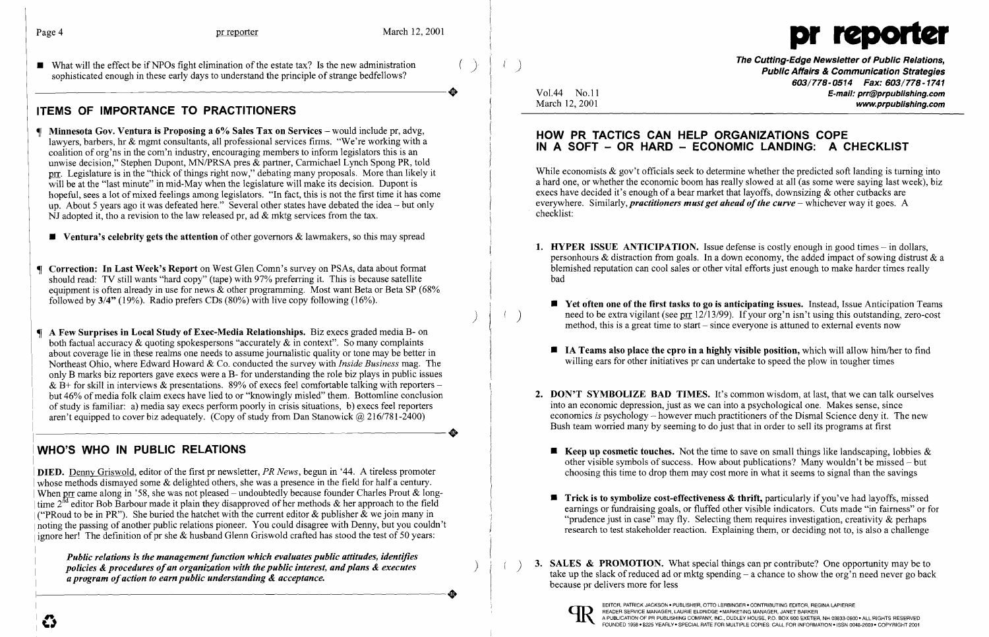What will the effect be if NPOs fight elimination of the estate tax? Is the new administration **and the control** to the state tax? Is the new administration (i) **and the Cutting-Edge Newsletter of Public Relations, The** 



603/778-0514 Fax: 603/778-1741 opmonented chough in these carry days to direct principle of stange centencies.<br>Vol.44 No.11 **E-mail: prr@prpublishing.com** March 12, 2001 **www.prpublishing.com** 

- Minnesota Gov. Ventura is Proposing a 6% Sales Tax on Services would include pr, advg, lawyers, barbers, hr & mgmt consultants, all professional services firms. "We're working with a coalition of org'ns in the com'n industry, encouraging members to inform legislators this is an unwise decision," Stephen Dupont, MN/PRSA pres & partner, Carmichael Lynch Spong PR, told prr. Legislature is in the "thick of things right now," debating many proposals. More than likely it will be at the "last minute" in mid-May when the legislature will make its decision. Dupont is hopeful, sees a lot of mixed feelings among legislators. "In fact, this is not the first time it has come up. About 5 years ago it was defeated here." Several other states have debated the idea - but only  $\overline{N}$ J adopted it, tho a revision to the law released pr, ad & mktg services from the tax.
	- **Ventura's celebrity gets the attention** of other governors  $\&$  lawmakers, so this may spread
- Correction: In Last Week's Report on West Glen Comn's survey on PSAs, data about format should read: TV still wants "hard copy" (tape) with 97% preferring it. This is because satellite equipment is often already in use for news & other programming. Most want Beta or Beta SP (68%) followed by 3/4" (19%). Radio prefers CDs (80%) with live copy following (16%).
- A Few Surprises in Local Study of Exec-Media Relationships. Biz execs graded media B- on both factual accuracy  $\&$  quoting spokespersons "accurately  $\&$  in context". So many complaints about coverage lie in these realms one needs to assume journalistic quality or tone may be better in Northeast Ohio, where Edward Howard & Co. conducted the survey with *Inside Business* mag. The only B marks biz reporters gave execs were a B- for understanding the role biz plays in public issues & B+ for skill in interviews & presentations. 89% of execs feel comfortable talking with reporters – but 46% of media folk claim execs have lied to or "knowingly misled" them. Bottomline conclusion of study is familiar: a) media say execs perform poorly in crisis situations, b) execs feel reporters aren't equipped to cover biz adequately. (Copy of study from Dan Stanowick @ 216/781-2400)

# ITEMS OF IMPORTANCE TO PRACTITIONERS

DIED. Denny Griswold, editor of the first pr newsletter, *PR News,* begun in '44. A tireless promoter whose methods dismayed some  $\&$  delighted others, she was a presence in the field for half a century. When pr came along in '58, she was not pleased - undoubtedly because founder Charles Prout & longtime  $2^{nd}$  editor Bob Barbour made it plain they disapproved of her methods & her approach to the field ("PRoud to be in PR"). She buried the hatchet with the current editor & publisher  $\&$  we join many in noting the passing of another public relations pioneer. You could disagree with Denny, but you couldn't ignore her! The definition of pr she & husband Glenn Griswold crafted has stood the test of 50 years:

*Public relations is the management function which evaluates public attitudes, identifies policies & procedures of an organization with the public interest, and plans & executes a program of action to earn public understanding & acceptance.* 

)

## HOW PR TACTICS CAN HELP ORGANIZATIONS COPE IN A SOFT - OR HARD - ECONOMIC LANDING: A CHECKLIST

While economists  $\&$  gov't officials seek to determine whether the predicted soft landing is turning into a hard one, or whether the economic boom has really slowed at all (as some were saying last week), biz execs have decided it's enough of a bear market that layoffs, downsizing & other cutbacks are everywhere. Similarly, *practitioners must get ahead of the curve* – whichever way it goes. A checklist:

personhours & distraction from goals. In a down economy, the added impact of sowing distrust  $\&$  a blemished reputation can cool sales or other vital efforts just enough to make harder times really

 $\blacksquare$  Yet often one of the first tasks to go is anticipating issues. Instead, Issue Anticipation Teams need to be extra vigilant (see prr  $12/13/99$ ). If your org'n isn't using this outstanding, zero-cost method, this is a great time to start – since everyone is attuned to external events now

 $\blacksquare$  IA Teams also place the cpro in a highly visible position, which will allow him/her to find

2. DON'T SYMBOLIZE BAD TIMES. It's common wisdom, at last, that we can talk ourselves economics *is* psychology – however much practitioners of the Dismal Science deny it. The new

# WHO'S WHO IN PUBLIC RELATIONS

**• Keep up cosmetic touches.** Not the time to save on small things like landscaping, lobbies  $\&$ other visible symbols of success. How about publications? Many wouldn't be missed – but choosing this time to drop them may cost more in what it seems to signal than the savings

 $\blacksquare$  Trick is to symbolize cost-effectiveness & thrift, particularly if you've had layoffs, missed earnings or fundraising goals, or fluffed other visible indicators. Cuts made "in fairness" or for "prudence just in case" may fly. Selecting them requires investigation, creativity & perhaps research to test stakeholder reaction. Explaining them, or deciding not to, is also a challenge

**3. SALES & PROMOTION.** What special things can pr contribute? One opportunity may be to take up the slack of reduced ad or mktg spending – a chance to show the org'n need never go back

- 1. HYPER ISSUE ANTICIPATION. Issue defense is costly enough in good times  $-$  in dollars, bad
	-
	- willing ears for other initiatives pr can undertake to speed the plow in tougher times
- into an economic depression, just as we can into a psychological one. Makes sense, since Bush team worried many by seeming to do just that in order to sell its programs at first
	-
- 
- because pr delivers more for less



EDITOR, PATRICK JACKSON • PUBLISHER, OTTO LERBINGER • CONTRIBUTING EDITOR, REGINA LAPIERRE<br>READER SERVICE MANAGER, LAURIE ELDRIDGE • MARKETING MANAGER, JANET BARKER